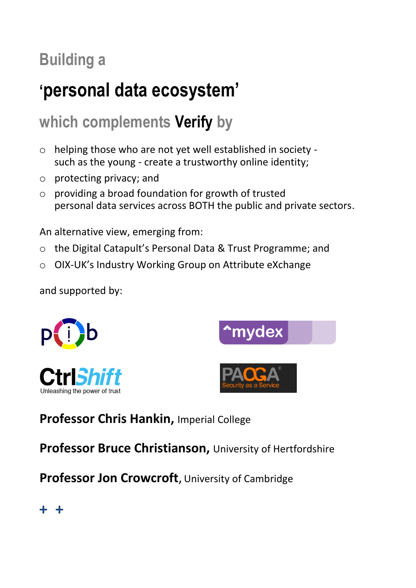## **Building a**

# **'personal data ecosystem'**

## **which complements Verify by**

- o helping those who are not yet well established in society such as the young - create a trustworthy online identity;
- o protecting privacy; and
- o providing a broad foundation for growth of trusted personal data services across BOTH the public and private sectors.

An alternative view, emerging from:

- o the Digital Catapult's Personal Data & Trust Programme; and
- o OIX-UK's Industry Working Group on Attribute eXchange

and supported by:







**Professor Chris Hankin,** Imperial College

**Professor Bruce Christianson,** University of Hertfordshire

**Professor Jon Crowcroft**, University of Cambridge

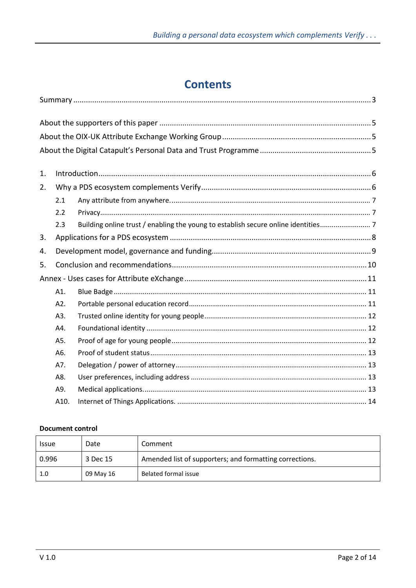## **Contents**

| 1. |      |                                                                                  |  |  |  |
|----|------|----------------------------------------------------------------------------------|--|--|--|
| 2. |      |                                                                                  |  |  |  |
|    | 2.1  |                                                                                  |  |  |  |
|    | 2.2  |                                                                                  |  |  |  |
|    | 2.3  | Building online trust / enabling the young to establish secure online identities |  |  |  |
| 3. |      |                                                                                  |  |  |  |
| 4. |      |                                                                                  |  |  |  |
| 5. |      |                                                                                  |  |  |  |
|    |      |                                                                                  |  |  |  |
|    | A1.  |                                                                                  |  |  |  |
|    | A2.  |                                                                                  |  |  |  |
|    | A3.  |                                                                                  |  |  |  |
|    | A4.  |                                                                                  |  |  |  |
|    | A5.  |                                                                                  |  |  |  |
|    | A6.  |                                                                                  |  |  |  |
|    | A7.  |                                                                                  |  |  |  |
|    | A8.  |                                                                                  |  |  |  |
|    | A9.  |                                                                                  |  |  |  |
|    | A10. |                                                                                  |  |  |  |
|    |      |                                                                                  |  |  |  |

## **Document control**

| <b>Issue</b> | Date      | Comment                                                 |
|--------------|-----------|---------------------------------------------------------|
| 0.996        | 3 Dec 15  | Amended list of supporters; and formatting corrections. |
| 1.0          | 09 May 16 | Belated formal issue                                    |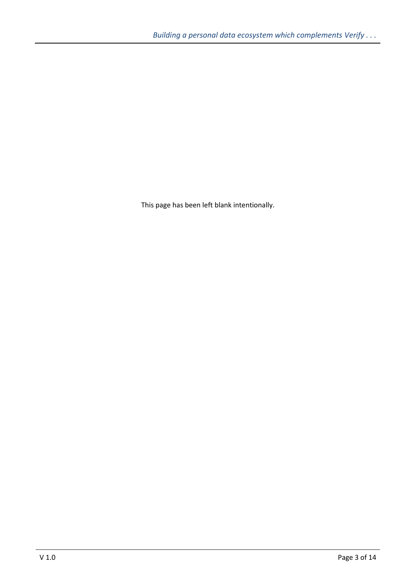<span id="page-2-0"></span>This page has been left blank intentionally.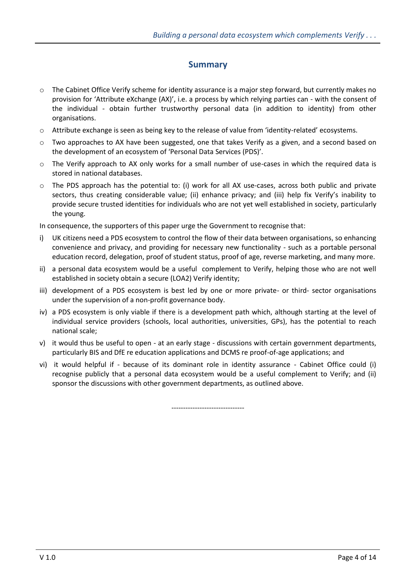### **Summary**

- $\circ$  The Cabinet Office Verify scheme for identity assurance is a major step forward, but currently makes no provision for 'Attribute eXchange (AX)', i.e. a process by which relying parties can - with the consent of the individual - obtain further trustworthy personal data (in addition to identity) from other organisations.
- o Attribute exchange is seen as being key to the release of value from 'identity-related' ecosystems.
- $\circ$  Two approaches to AX have been suggested, one that takes Verify as a given, and a second based on the development of an ecosystem of 'Personal Data Services (PDS)'.
- o The Verify approach to AX only works for a small number of use-cases in which the required data is stored in national databases.
- o The PDS approach has the potential to: (i) work for all AX use-cases, across both public and private sectors, thus creating considerable value; (ii) enhance privacy; and (iii) help fix Verify's inability to provide secure trusted identities for individuals who are not yet well established in society, particularly the young.

In consequence, the supporters of this paper urge the Government to recognise that:

- i) UK citizens need a PDS ecosystem to control the flow of their data between organisations, so enhancing convenience and privacy, and providing for necessary new functionality - such as a portable personal education record, delegation, proof of student status, proof of age, reverse marketing, and many more.
- ii) a personal data ecosystem would be a useful complement to Verify, helping those who are not well established in society obtain a secure (LOA2) Verify identity;
- iii) development of a PDS ecosystem is best led by one or more private- or third- sector organisations under the supervision of a non-profit governance body.
- iv) a PDS ecosystem is only viable if there is a development path which, although starting at the level of individual service providers (schools, local authorities, universities, GPs), has the potential to reach national scale;
- v) it would thus be useful to open at an early stage discussions with certain government departments, particularly BIS and DfE re education applications and DCMS re proof-of-age applications; and
- vi) it would helpful if because of its dominant role in identity assurance Cabinet Office could (i) recognise publicly that a personal data ecosystem would be a useful complement to Verify; and (ii) sponsor the discussions with other government departments, as outlined above.

-------------------------------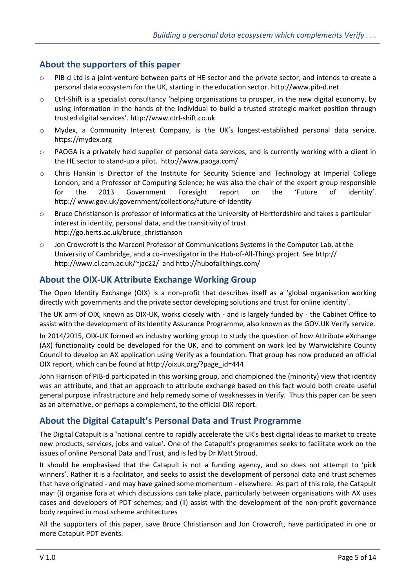## <span id="page-4-0"></span>**About the supporters of this paper**

- o PIB-d Ltd is a joint-venture between parts of HE sector and the private sector, and intends to create a personal data ecosystem for the UK, starting in the education sector. http://www.pib-d.net
- o Ctrl-Shift is a specialist consultancy 'helping organisations to prosper, in the new digital economy, by using information in the hands of the individual to build a trusted strategic market position through trusted digital services'. http://www.ctrl-shift.co.uk
- o Mydex, a Community Interest Company, is the UK's longest-established personal data service. https://mydex.org
- o PAOGA is a privately held supplier of personal data services, and is currently working with a client in the HE sector to stand-up a pilot. http://www.paoga.com/
- o Chris Hankin is Director of the Institute for Security Science and Technology at Imperial College London, and a Professor of Computing Science; he was also the chair of the expert group responsible for the 2013 Government Foresight report on the 'Future of identity'. http:// www.gov.uk/government/collections/future-of-identity
- o Bruce Christianson is professor of informatics at the University of Hertfordshire and takes a particular interest in identity, personal data, and the transitivity of trust. http://go.herts.ac.uk/bruce\_christianson
- o Jon Crowcroft is the Marconi Professor of Communications Systems in the Computer Lab, at the University of Cambridge, and a co-investigator in the Hub-of-All-Things project. See http:// <http://www.cl.cam.ac.uk/~jac22/>and http://hubofallthings.com/

## <span id="page-4-1"></span>**About the OIX-UK Attribute Exchange Working Group**

The Open Identity Exchange (OIX) is a non-profit that describes itself as a 'global organisation working directly with governments and the private sector developing solutions and trust for online identity'.

The UK arm of OIX, known as OIX-UK, works closely with - and is largely funded by - the Cabinet Office to assist with the development of its Identity Assurance Programme, also known as the GOV.UK Verify service.

In 2014/2015, OIX-UK formed an industry working group to study the question of how Attribute eXchange (AX) functionality could be developed for the UK, and to comment on work led by Warwickshire County Council to develop an AX application using Verify as a foundation. That group has now produced an official OIX report, which can be found at http://oixuk.org/?page\_id=444

John Harrison of PIB-d participated in this working group, and championed the (minority) view that identity was an attribute, and that an approach to attribute exchange based on this fact would both create useful general purpose infrastructure and help remedy some of weaknesses in Verify. Thus this paper can be seen as an alternative, or perhaps a complement, to the official OIX report.

## <span id="page-4-2"></span>**About the Digital Catapult's Personal Data and Trust Programme**

The Digital Catapult is a 'national centre to rapidly accelerate the UK's best digital ideas to market to create new products, services, jobs and value'. One of the Catapult's programmes seeks to facilitate work on the issues of online Personal Data and Trust, and is led by Dr Matt Stroud.

It should be emphasised that the Catapult is not a funding agency, and so does not attempt to 'pick winners'. Rather it is a facilitator, and seeks to assist the development of personal data and trust schemes that have originated - and may have gained some momentum - elsewhere. As part of this role, the Catapult may: (i) organise fora at which discussions can take place, particularly between organisations with AX uses cases and developers of PDT schemes; and (ii) assist with the development of the non-profit governance body required in most scheme architectures

All the supporters of this paper, save Bruce Christianson and Jon Crowcroft, have participated in one or more Catapult PDT events.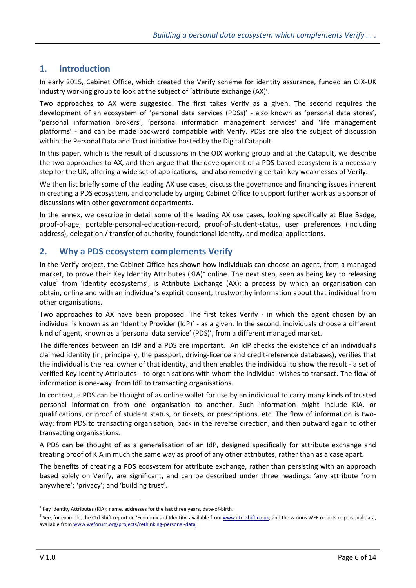## <span id="page-5-0"></span>**1. Introduction**

In early 2015, Cabinet Office, which created the Verify scheme for identity assurance, funded an OIX-UK industry working group to look at the subject of 'attribute exchange (AX)'.

Two approaches to AX were suggested. The first takes Verify as a given. The second requires the development of an ecosystem of 'personal data services (PDSs)' - also known as 'personal data stores', 'personal information brokers', 'personal information management services' and 'life management platforms' - and can be made backward compatible with Verify. PDSs are also the subject of discussion within the Personal Data and Trust initiative hosted by the Digital Catapult.

In this paper, which is the result of discussions in the OIX working group and at the Catapult, we describe the two approaches to AX, and then argue that the development of a PDS-based ecosystem is a necessary step for the UK, offering a wide set of applications, and also remedying certain key weaknesses of Verify.

We then list briefly some of the leading AX use cases, discuss the governance and financing issues inherent in creating a PDS ecosystem, and conclude by urging Cabinet Office to support further work as a sponsor of discussions with other government departments.

In the annex, we describe in detail some of the leading AX use cases, looking specifically at Blue Badge, proof-of-age, portable-personal-education-record, proof-of-student-status, user preferences (including address), delegation / transfer of authority, foundational identity, and medical applications.

## <span id="page-5-1"></span>**2. Why a PDS ecosystem complements Verify**

In the Verify project, the Cabinet Office has shown how individuals can choose an agent, from a managed market, to prove their Key Identity Attributes  $(KIA)^1$  online. The next step, seen as being key to releasing value<sup>2</sup> from 'identity ecosystems', is Attribute Exchange (AX): a process by which an organisation can obtain, online and with an individual's explicit consent, trustworthy information about that individual from other organisations.

Two approaches to AX have been proposed. The first takes Verify - in which the agent chosen by an individual is known as an 'Identity Provider (IdP)' - as a given. In the second, individuals choose a different kind of agent, known as a 'personal data service' (PDS)', from a different managed market.

The differences between an IdP and a PDS are important. An IdP checks the existence of an individual's claimed identity (in, principally, the passport, driving-licence and credit-reference databases), verifies that the individual is the real owner of that identity, and then enables the individual to show the result - a set of verified Key Identity Attributes - to organisations with whom the individual wishes to transact. The flow of information is one-way: from IdP to transacting organisations.

In contrast, a PDS can be thought of as online wallet for use by an individual to carry many kinds of trusted personal information from one organisation to another. Such information might include KIA, or qualifications, or proof of student status, or tickets, or prescriptions, etc. The flow of information is twoway: from PDS to transacting organisation, back in the reverse direction, and then outward again to other transacting organisations.

A PDS can be thought of as a generalisation of an IdP, designed specifically for attribute exchange and treating proof of KIA in much the same way as proof of any other attributes, rather than as a case apart.

The benefits of creating a PDS ecosystem for attribute exchange, rather than persisting with an approach based solely on Verify, are significant, and can be described under three headings: 'any attribute from anywhere'; 'privacy'; and 'building trust'.

1

 $<sup>1</sup>$  Key Identity Attributes (KIA): name, addresses for the last three years, date-of-birth.</sup>

<sup>&</sup>lt;sup>2</sup> See, for example, the Ctrl Shift report on 'Economics of Identity' available from [www.ctrl-shift.co.uk;](http://www.ctrl-shift.co.uk/) and the various WEF reports re personal data, available fro[m www.weforum.org/projects/rethinking-personal-data](file:///C:/Users/User/Documents/PIB-d/Organisations%20O%20-%20Z/OIX/Note%20re%20dynamic%20attribute%20exchange/www.weforum.org/projects/rethinking-personal-data)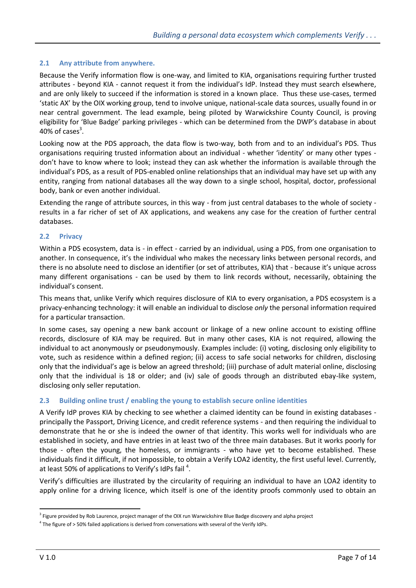### <span id="page-6-0"></span>**2.1 Any attribute from anywhere.**

Because the Verify information flow is one-way, and limited to KIA, organisations requiring further trusted attributes - beyond KIA - cannot request it from the individual's IdP. Instead they must search elsewhere, and are only likely to succeed if the information is stored in a known place. Thus these use-cases, termed 'static AX' by the OIX working group, tend to involve unique, national-scale data sources, usually found in or near central government. The lead example, being piloted by Warwickshire County Council, is proving eligibility for 'Blue Badge' parking privileges - which can be determined from the DWP's database in about 40% of cases $3$ .

Looking now at the PDS approach, the data flow is two-way, both from and to an individual's PDS. Thus organisations requiring trusted information about an individual - whether 'identity' or many other types don't have to know where to look; instead they can ask whether the information is available through the individual's PDS, as a result of PDS-enabled online relationships that an individual may have set up with any entity, ranging from national databases all the way down to a single school, hospital, doctor, professional body, bank or even another individual.

Extending the range of attribute sources, in this way - from just central databases to the whole of society results in a far richer of set of AX applications, and weakens any case for the creation of further central databases.

#### <span id="page-6-1"></span>**2.2 Privacy**

Within a PDS ecosystem, data is - in effect - carried by an individual, using a PDS, from one organisation to another. In consequence, it's the individual who makes the necessary links between personal records, and there is no absolute need to disclose an identifier (or set of attributes, KIA) that - because it's unique across many different organisations - can be used by them to link records without, necessarily, obtaining the individual's consent.

This means that, unlike Verify which requires disclosure of KIA to every organisation, a PDS ecosystem is a privacy-enhancing technology: it will enable an individual to disclose *only* the personal information required for a particular transaction.

In some cases, say opening a new bank account or linkage of a new online account to existing offline records, disclosure of KIA may be required. But in many other cases, KIA is not required, allowing the individual to act anonymously or pseudonymously. Examples include: (i) voting, disclosing only eligibility to vote, such as residence within a defined region; (ii) access to safe social networks for children, disclosing only that the individual's age is below an agreed threshold; (iii) purchase of adult material online, disclosing only that the individual is 18 or older; and (iv) sale of goods through an distributed ebay-like system, disclosing only seller reputation.

#### <span id="page-6-2"></span>**2.3 Building online trust / enabling the young to establish secure online identities**

A Verify IdP proves KIA by checking to see whether a claimed identity can be found in existing databases principally the Passport, Driving Licence, and credit reference systems - and then requiring the individual to demonstrate that he or she is indeed the owner of that identity. This works well for individuals who are established in society, and have entries in at least two of the three main databases. But it works poorly for those - often the young, the homeless, or immigrants - who have yet to become established. These individuals find it difficult, if not impossible, to obtain a Verify LOA2 identity, the first useful level. Currently, at least 50% of applications to Verify's IdPs fail<sup>4</sup>.

Verify's difficulties are illustrated by the circularity of requiring an individual to have an LOA2 identity to apply online for a driving licence, which itself is one of the identity proofs commonly used to obtain an

**<sup>.</sup>** <sup>3</sup> Figure provided by Rob Laurence, project manager of the OIX run Warwickshire Blue Badge discovery and alpha project

 $^4$  The figure of > 50% failed applications is derived from conversations with several of the Verify IdPs.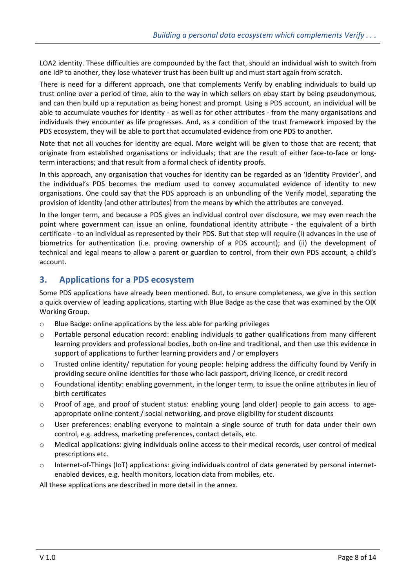LOA2 identity. These difficulties are compounded by the fact that, should an individual wish to switch from one IdP to another, they lose whatever trust has been built up and must start again from scratch.

There is need for a different approach, one that complements Verify by enabling individuals to build up trust online over a period of time, akin to the way in which sellers on ebay start by being pseudonymous, and can then build up a reputation as being honest and prompt. Using a PDS account, an individual will be able to accumulate vouches for identity - as well as for other attributes - from the many organisations and individuals they encounter as life progresses. And, as a condition of the trust framework imposed by the PDS ecosystem, they will be able to port that accumulated evidence from one PDS to another.

Note that not all vouches for identity are equal. More weight will be given to those that are recent; that originate from established organisations or individuals; that are the result of either face-to-face or longterm interactions; and that result from a formal check of identity proofs.

In this approach, any organisation that vouches for identity can be regarded as an 'Identity Provider', and the individual's PDS becomes the medium used to convey accumulated evidence of identity to new organisations. One could say that the PDS approach is an unbundling of the Verify model, separating the provision of identity (and other attributes) from the means by which the attributes are conveyed.

In the longer term, and because a PDS gives an individual control over disclosure, we may even reach the point where government can issue an online, foundational identity attribute - the equivalent of a birth certificate - to an individual as represented by their PDS. But that step will require (i) advances in the use of biometrics for authentication (i.e. proving ownership of a PDS account); and (ii) the development of technical and legal means to allow a parent or guardian to control, from their own PDS account, a child's account.

## <span id="page-7-0"></span>**3. Applications for a PDS ecosystem**

Some PDS applications have already been mentioned. But, to ensure completeness, we give in this section a quick overview of leading applications, starting with Blue Badge as the case that was examined by the OIX Working Group.

- o Blue Badge: online applications by the less able for parking privileges
- o Portable personal education record: enabling individuals to gather qualifications from many different learning providers and professional bodies, both on-line and traditional, and then use this evidence in support of applications to further learning providers and / or employers
- o Trusted online identity/ reputation for young people: helping address the difficulty found by Verify in providing secure online identities for those who lack passport, driving licence, or credit record
- o Foundational identity: enabling government, in the longer term, to issue the online attributes in lieu of birth certificates
- o Proof of age, and proof of student status: enabling young (and older) people to gain access to ageappropriate online content / social networking, and prove eligibility for student discounts
- o User preferences: enabling everyone to maintain a single source of truth for data under their own control, e.g. address, marketing preferences, contact details, etc.
- o Medical applications: giving individuals online access to their medical records, user control of medical prescriptions etc.
- $\circ$  Internet-of-Things (IoT) applications: giving individuals control of data generated by personal internetenabled devices, e.g. health monitors, location data from mobiles, etc.

All these applications are described in more detail in the annex.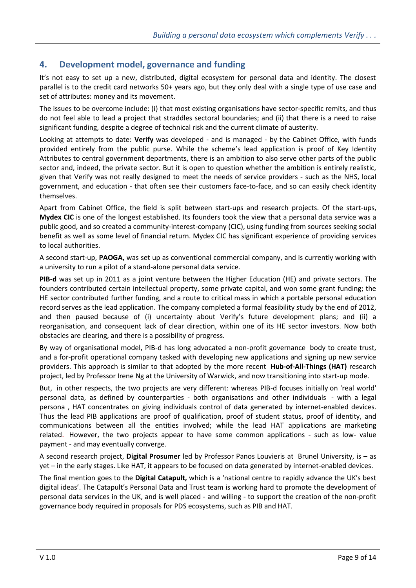## <span id="page-8-0"></span>**4. Development model, governance and funding**

It's not easy to set up a new, distributed, digital ecosystem for personal data and identity. The closest parallel is to the credit card networks 50+ years ago, but they only deal with a single type of use case and set of attributes: money and its movement.

The issues to be overcome include: (i) that most existing organisations have sector-specific remits, and thus do not feel able to lead a project that straddles sectoral boundaries; and (ii) that there is a need to raise significant funding, despite a degree of technical risk and the current climate of austerity.

Looking at attempts to date: **Verify** was developed - and is managed - by the Cabinet Office, with funds provided entirely from the public purse. While the scheme's lead application is proof of Key Identity Attributes to central government departments, there is an ambition to also serve other parts of the public sector and, indeed, the private sector. But it is open to question whether the ambition is entirely realistic, given that Verify was not really designed to meet the needs of service providers - such as the NHS, local government, and education - that often see their customers face-to-face, and so can easily check identity themselves.

Apart from Cabinet Office, the field is split between start-ups and research projects. Of the start-ups, **Mydex CIC** is one of the longest established. Its founders took the view that a personal data service was a public good, and so created a community-interest-company (CIC), using funding from sources seeking social benefit as well as some level of financial return. Mydex CIC has significant experience of providing services to local authorities.

A second start-up, **PAOGA,** was set up as conventional commercial company, and is currently working with a university to run a pilot of a stand-alone personal data service.

**PIB-d** was set up in 2011 as a joint venture between the Higher Education (HE) and private sectors. The founders contributed certain intellectual property, some private capital, and won some grant funding; the HE sector contributed further funding, and a route to critical mass in which a portable personal education record serves as the lead application. The company completed a formal feasibility study by the end of 2012, and then paused because of (i) uncertainty about Verify's future development plans; and (ii) a reorganisation, and consequent lack of clear direction, within one of its HE sector investors. Now both obstacles are clearing, and there is a possibility of progress.

By way of organisational model, PIB-d has long advocated a non-profit governance body to create trust, and a for-profit operational company tasked with developing new applications and signing up new service providers. This approach is similar to that adopted by the more recent **Hub-of-All-Things (HAT)** research project, led by Professor Irene Ng at the University of Warwick, and now transitioning into start-up mode.

But, in other respects, the two projects are very different: whereas PIB-d focuses initially on 'real world' personal data, as defined by counterparties - both organisations and other individuals - with a legal persona , HAT concentrates on giving individuals control of data generated by internet-enabled devices. Thus the lead PIB applications are proof of qualification, proof of student status, proof of identity, and communications between all the entities involved; while the lead HAT applications are marketing related. However, the two projects appear to have some common applications - such as low- value payment - and may eventually converge.

A second research project, **Digital Prosumer** led by Professor Panos Louvieris at Brunel University, is – as yet – in the early stages. Like HAT, it appears to be focused on data generated by internet-enabled devices.

The final mention goes to the **Digital Catapult,** which is a 'national centre to rapidly advance the UK's best digital ideas'. The Catapult's Personal Data and Trust team is working hard to promote the development of personal data services in the UK, and is well placed - and willing - to support the creation of the non-profit governance body required in proposals for PDS ecosystems, such as PIB and HAT.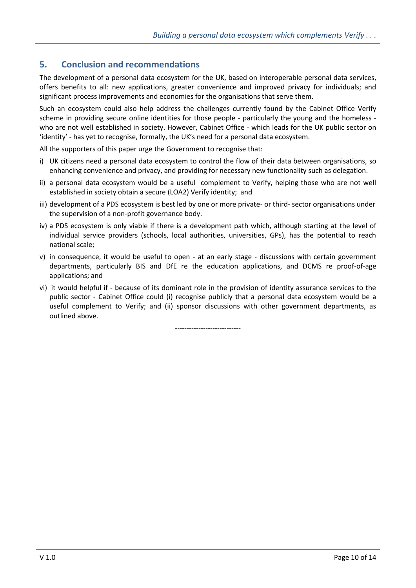## <span id="page-9-0"></span>**5. Conclusion and recommendations**

The development of a personal data ecosystem for the UK, based on interoperable personal data services, offers benefits to all: new applications, greater convenience and improved privacy for individuals; and significant process improvements and economies for the organisations that serve them.

Such an ecosystem could also help address the challenges currently found by the Cabinet Office Verify scheme in providing secure online identities for those people - particularly the young and the homeless who are not well established in society. However, Cabinet Office - which leads for the UK public sector on 'identity' - has yet to recognise, formally, the UK's need for a personal data ecosystem.

All the supporters of this paper urge the Government to recognise that:

- i) UK citizens need a personal data ecosystem to control the flow of their data between organisations, so enhancing convenience and privacy, and providing for necessary new functionality such as delegation.
- ii) a personal data ecosystem would be a useful complement to Verify, helping those who are not well established in society obtain a secure (LOA2) Verify identity; and
- iii) development of a PDS ecosystem is best led by one or more private- or third- sector organisations under the supervision of a non-profit governance body.
- iv) a PDS ecosystem is only viable if there is a development path which, although starting at the level of individual service providers (schools, local authorities, universities, GPs), has the potential to reach national scale;
- v) in consequence, it would be useful to open at an early stage discussions with certain government departments, particularly BIS and DfE re the education applications, and DCMS re proof-of-age applications; and
- vi) it would helpful if because of its dominant role in the provision of identity assurance services to the public sector - Cabinet Office could (i) recognise publicly that a personal data ecosystem would be a useful complement to Verify; and (ii) sponsor discussions with other government departments, as outlined above.

----------------------------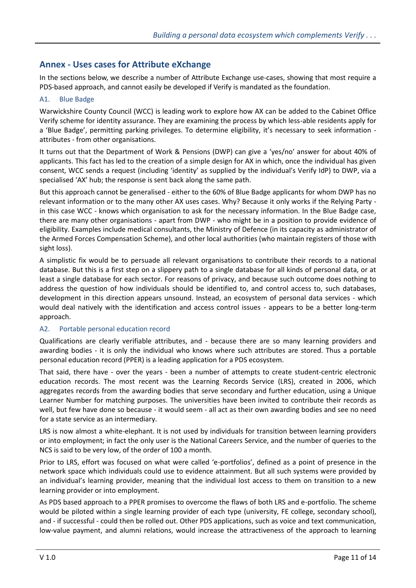## <span id="page-10-0"></span>**Annex - Uses cases for Attribute eXchange**

In the sections below, we describe a number of Attribute Exchange use-cases, showing that most require a PDS-based approach, and cannot easily be developed if Verify is mandated as the foundation.

#### <span id="page-10-1"></span>A1. Blue Badge

Warwickshire County Council (WCC) is leading work to explore how AX can be added to the Cabinet Office Verify scheme for identity assurance. They are examining the process by which less-able residents apply for a 'Blue Badge', permitting parking privileges. To determine eligibility, it's necessary to seek information attributes - from other organisations.

It turns out that the Department of Work & Pensions (DWP) can give a 'yes/no' answer for about 40% of applicants. This fact has led to the creation of a simple design for AX in which, once the individual has given consent, WCC sends a request (including 'identity' as supplied by the individual's Verify IdP) to DWP, via a specialised 'AX' hub; the response is sent back along the same path.

But this approach cannot be generalised - either to the 60% of Blue Badge applicants for whom DWP has no relevant information or to the many other AX uses cases. Why? Because it only works if the Relying Party in this case WCC - knows which organisation to ask for the necessary information. In the Blue Badge case, there are many other organisations - apart from DWP - who might be in a position to provide evidence of eligibility. Examples include medical consultants, the Ministry of Defence (in its capacity as administrator of the Armed Forces Compensation Scheme), and other local authorities (who maintain registers of those with sight loss).

A simplistic fix would be to persuade all relevant organisations to contribute their records to a national database. But this is a first step on a slippery path to a single database for all kinds of personal data, or at least a single database for each sector. For reasons of privacy, and because such outcome does nothing to address the question of how individuals should be identified to, and control access to, such databases, development in this direction appears unsound. Instead, an ecosystem of personal data services - which would deal natively with the identification and access control issues - appears to be a better long-term approach.

#### <span id="page-10-2"></span>A2. Portable personal education record

Qualifications are clearly verifiable attributes, and - because there are so many learning providers and awarding bodies - it is only the individual who knows where such attributes are stored. Thus a portable personal education record (PPER) is a leading application for a PDS ecosystem.

That said, there have - over the years - been a number of attempts to create student-centric electronic education records. The most recent was the Learning Records Service (LRS), created in 2006, which aggregates records from the awarding bodies that serve secondary and further education, using a Unique Learner Number for matching purposes. The universities have been invited to contribute their records as well, but few have done so because - it would seem - all act as their own awarding bodies and see no need for a state service as an intermediary.

LRS is now almost a white-elephant. It is not used by individuals for transition between learning providers or into employment; in fact the only user is the National Careers Service, and the number of queries to the NCS is said to be very low, of the order of 100 a month.

Prior to LRS, effort was focused on what were called 'e-portfolios', defined as a point of presence in the network space which individuals could use to evidence attainment. But all such systems were provided by an individual's learning provider, meaning that the individual lost access to them on transition to a new learning provider or into employment.

As PDS based approach to a PPER promises to overcome the flaws of both LRS and e-portfolio. The scheme would be piloted within a single learning provider of each type (university, FE college, secondary school), and - if successful - could then be rolled out. Other PDS applications, such as voice and text communication, low-value payment, and alumni relations, would increase the attractiveness of the approach to learning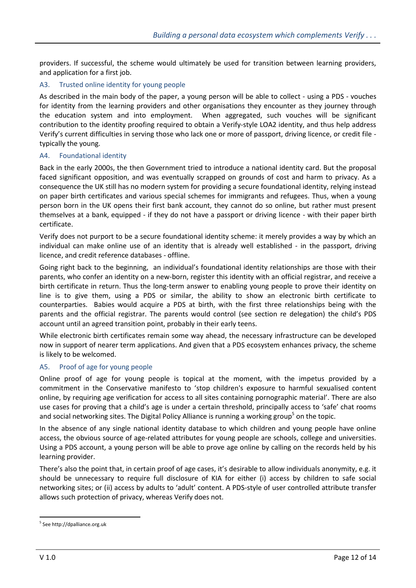providers. If successful, the scheme would ultimately be used for transition between learning providers, and application for a first job.

### <span id="page-11-0"></span>A3. Trusted online identity for young people

As described in the main body of the paper, a young person will be able to collect - using a PDS - vouches for identity from the learning providers and other organisations they encounter as they journey through the education system and into employment. When aggregated, such vouches will be significant contribution to the identity proofing required to obtain a Verify-style LOA2 identity, and thus help address Verify's current difficulties in serving those who lack one or more of passport, driving licence, or credit file typically the young.

#### <span id="page-11-1"></span>A4. Foundational identity

Back in the early 2000s, the then Government tried to introduce a national identity card. But the proposal faced significant opposition, and was eventually scrapped on grounds of cost and harm to privacy. As a consequence the UK still has no modern system for providing a secure foundational identity, relying instead on paper birth certificates and various special schemes for immigrants and refugees. Thus, when a young person born in the UK opens their first bank account, they cannot do so online, but rather must present themselves at a bank, equipped - if they do not have a passport or driving licence - with their paper birth certificate.

Verify does not purport to be a secure foundational identity scheme: it merely provides a way by which an individual can make online use of an identity that is already well established - in the passport, driving licence, and credit reference databases - offline.

Going right back to the beginning, an individual's foundational identity relationships are those with their parents, who confer an identity on a new-born, register this identity with an official registrar, and receive a birth certificate in return. Thus the long-term answer to enabling young people to prove their identity on line is to give them, using a PDS or similar, the ability to show an electronic birth certificate to counterparties. Babies would acquire a PDS at birth, with the first three relationships being with the parents and the official registrar. The parents would control (see section re delegation) the child's PDS account until an agreed transition point, probably in their early teens.

While electronic birth certificates remain some way ahead, the necessary infrastructure can be developed now in support of nearer term applications. And given that a PDS ecosystem enhances privacy, the scheme is likely to be welcomed.

#### <span id="page-11-2"></span>A5. Proof of age for young people

Online proof of age for young people is topical at the moment, with the impetus provided by a commitment in the Conservative manifesto to 'stop children's exposure to harmful sexualised content online, by requiring age verification for access to all sites containing pornographic material'. There are also use cases for proving that a child's age is under a certain threshold, principally access to 'safe' chat rooms and social networking sites. The Digital Policy Alliance is running a working group<sup>5</sup> on the topic.

In the absence of any single national identity database to which children and young people have online access, the obvious source of age-related attributes for young people are schools, college and universities. Using a PDS account, a young person will be able to prove age online by calling on the records held by his learning provider.

There's also the point that, in certain proof of age cases, it's desirable to allow individuals anonymity, e.g. it should be unnecessary to require full disclosure of KIA for either (i) access by children to safe social networking sites; or (ii) access by adults to 'adult' content. A PDS-style of user controlled attribute transfer allows such protection of privacy, whereas Verify does not.

**.** 

<sup>5</sup> See http://dpalliance.org.uk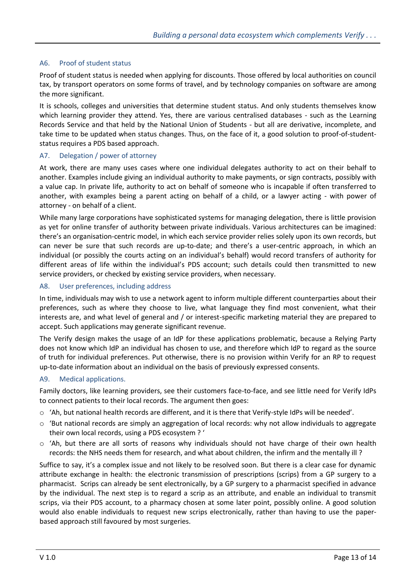### <span id="page-12-0"></span>A6. Proof of student status

Proof of student status is needed when applying for discounts. Those offered by local authorities on council tax, by transport operators on some forms of travel, and by technology companies on software are among the more significant.

It is schools, colleges and universities that determine student status. And only students themselves know which learning provider they attend. Yes, there are various centralised databases - such as the Learning Records Service and that held by the National Union of Students - but all are derivative, incomplete, and take time to be updated when status changes. Thus, on the face of it, a good solution to proof-of-studentstatus requires a PDS based approach.

#### <span id="page-12-1"></span>A7. Delegation / power of attorney

At work, there are many uses cases where one individual delegates authority to act on their behalf to another. Examples include giving an individual authority to make payments, or sign contracts, possibly with a value cap. In private life, authority to act on behalf of someone who is incapable if often transferred to another, with examples being a parent acting on behalf of a child, or a lawyer acting - with power of attorney - on behalf of a client.

While many large corporations have sophisticated systems for managing delegation, there is little provision as yet for online transfer of authority between private individuals. Various architectures can be imagined: there's an organisation-centric model, in which each service provider relies solely upon its own records, but can never be sure that such records are up-to-date; and there's a user-centric approach, in which an individual (or possibly the courts acting on an individual's behalf) would record transfers of authority for different areas of life within the individual's PDS account; such details could then transmitted to new service providers, or checked by existing service providers, when necessary.

#### <span id="page-12-2"></span>A8. User preferences, including address

In time, individuals may wish to use a network agent to inform multiple different counterparties about their preferences, such as where they choose to live, what language they find most convenient, what their interests are, and what level of general and / or interest-specific marketing material they are prepared to accept. Such applications may generate significant revenue.

The Verify design makes the usage of an IdP for these applications problematic, because a Relying Party does not know which IdP an individual has chosen to use, and therefore which IdP to regard as the source of truth for individual preferences. Put otherwise, there is no provision within Verify for an RP to request up-to-date information about an individual on the basis of previously expressed consents.

#### <span id="page-12-3"></span>A9. Medical applications.

Family doctors, like learning providers, see their customers face-to-face, and see little need for Verify IdPs to connect patients to their local records. The argument then goes:

- $\circ$  'Ah, but national health records are different, and it is there that Verify-style IdPs will be needed'.
- $\circ$  'But national records are simply an aggregation of local records: why not allow individuals to aggregate their own local records, using a PDS ecosystem ? '
- o 'Ah, but there are all sorts of reasons why individuals should not have charge of their own health records: the NHS needs them for research, and what about children, the infirm and the mentally ill ?

Suffice to say, it's a complex issue and not likely to be resolved soon. But there is a clear case for dynamic attribute exchange in health: the electronic transmission of prescriptions (scrips) from a GP surgery to a pharmacist. Scrips can already be sent electronically, by a GP surgery to a pharmacist specified in advance by the individual. The next step is to regard a scrip as an attribute, and enable an individual to transmit scrips, via their PDS account, to a pharmacy chosen at some later point, possibly online. A good solution would also enable individuals to request new scrips electronically, rather than having to use the paperbased approach still favoured by most surgeries.